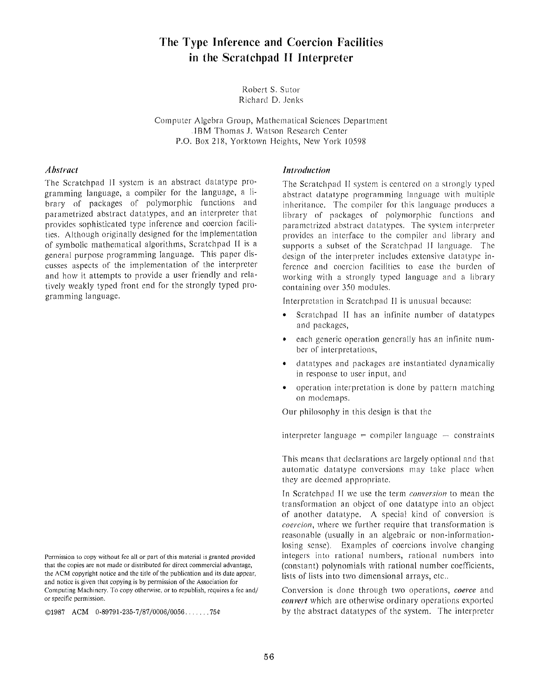# The Type **Inference and Coercion Facilities in the Scratchpad II** Interpreter

Robert S. Sutor Richard D. Jenks

Computer Algebra Group, Mathematical Sciences Department .IBM Thomas J. Watson Research Center P.O. Box 218, Yorktown Heights, New York 10598

#### *Abstract*

The Scratchpad II system is an abstract datatype programming language, a compiler for the language, a library of packages of polymorphic functions and parametrized abstract datatypes, and an interpreter that provides sophisticated type inference and coercion facilities. Although originally designed for the implementation of symbolic mathematical algorithms, Scratchpad 11 is a general purpose programming language . This paper discusses aspects of the implementation of the interpreter and how it attempts to provide a user friendly and relatively weakly typed front end for the strongly typed programming language.

 $@1987$  ACM  $0.89791 - 235 - 7/87/0006/0056$ .......75¢

#### *Introduction*

The Scratchpad II system is centered on a strongly typed abstract datatype programming language with multiple inheritance. The compiler for this language produces a library of packages of polymorphic functions and parametrized abstract datatypes. The system interpreter provides an interface to the compiler and library and supports a subset of the Scratchpad II language. The design of the interpreter includes extensive datatype inference and coercion facilities to ease the burden of working with a strongly typed language and a library containing over 350 modules.

Interpretation in Scratchpad I1 is unusual because :

- Scratchpad II has an infinite number of datatypes and packages,
- each generic operation generally has an infinite number of interpretations,
- datatypes and packages are instantiated dynamically in response to user input, and
- operation interpretation is done by pattern matching on modemaps.

Our philosophy in this design is that the

interpreter language = compiler language  $-$  constraints

This means that declarations are largely optional and that automatic datatype conversions may take place when they are deemed appropriate.

In Scratchpad II we use the term *conversion* to mean the transformation an object of one datatype into an object of another datatype. A special kind of conversion is *coercion*, where we further require that transformation is reasonable (usually in an algebraic or non-informationlosing sense). Examples of coercions involve changing integers into rational numbers, rational numbers into (constant) polynomials with rational number coefficients, lists of lists into two dimensional arrays, etc..

Conversion is done through two operations, *coerce* and *convert* which are otherwise ordinary operations exported by the abstract datatypes *of* the system. The interpreter

Permission to copy without fee all or part of this material is granted provided that the copies are not made or distributed for direct commercial advantage, the ACM copyright notice and the title of the publication and its date appear , and notice is given that copying is by permission of the Association for Computing Machinery. To copy otherwise, or to republish, requires a fee and/ or specific permission .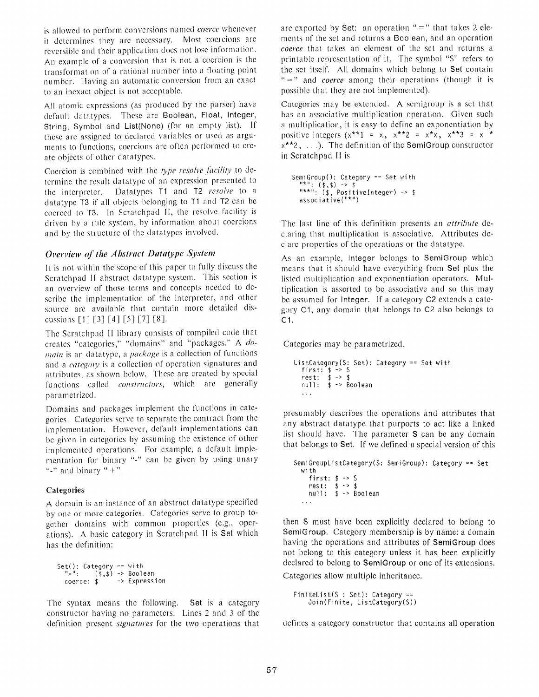is allowed to perform conversions named coerce whenever it determines they are necessary. Most coercions are reversible and their application does not lose information . An example of a conversion that is not a coercion is the transformation of a rational number into a floating poin <sup>t</sup> number. Having an automatic conversion from an exact to an inexact object is not acceptable.

All atomic expressions (as produced by the parser) have default datatypes. These are Boolean, Float, Integer, String, Symbol and List(None) (for an empty list). If these are assigned to declared variables or used as arguments to functions, coercions are often performed to create objects of other datatypes.

Coercion is combined with the *type resolve facility* to determine the result datatype of an expression presented to the interpreter. Datatypes T1 and T2 *resolve* to <sup>a</sup> datatype T3 if all objects belonging to T1 and T2 can be coerced to T3. In Scratchpad II, the resolve facility is driven by a rule system, by information about coercions and by the structure of the datatypes involved.

### *Overview of the Abstract Datatype System*

It is not within the scope of this paper to fully discuss the Scratchpad II abstract datatype system. This section is an overview of those terms and concepts needed to describe the implementation of the interpreter, and other source are available that contain more detailed discussions  $[1] [3] [4] [5] [7] [8]$ .

The Scratchpad II library consists of compiled code that creates "categories," "domains" and "packages." *A domain* is an datatype, a *package* is a collection of functions and a *category* is a collection of operation signatures and attributes, as shown below. These are created by special functions called *constructors*, which are generally parametrized .

Domains and packages implement the functions in categories. Categories serve to separate the contract from the implementation. However, default implementations can be given in categories by assuming the existence of other implemented operations. For example, a default implementation for binary "-" can be given by using unary "-" and binary " $+$ ".

#### **Categorie s**

A domain is an instance of an abstract datatype specified by one or more categories. Categories serve to group together domains with common properties (e.g., operations). A basic category in Scratchpad II is Set which has the definition:

```
Set() : Category == with
  "=":    ($,$) -> Boolean
 coerce: $ -> Expression
```
The syntax means the following. Set is a category constructor having no parameters. Lines 2 and 3 of the definition present *signatures* for the two operations that

are exported by Set: an operation " $=$ " that takes 2 elements of the set and returns a Boolean, and an operation *coerce* that takes an element of the set and returns a printable representation of it. The symbol "S" refers to the set itself. All domains which belong to Set contain "=" and *coerce* among their operations (though it is possible that they are not implemented).

Categories may be extended. A semigroup is a set that has an associative multiplication operation. Given such a multiplication, it is easy to define an exponentiation by positive integers  $(x^{**}1 = x, x^{**}2 = x^{**}x, x^{**}3 = x^{**}$  $x^{**}$ ?, ...). The definition of the SemiGroup constructor in Scratchpad II is

```
SemiGroup(): Category == Set with
  *" : ($,$) -> $
"**" : ($, Positivelnteger) -> $
  associative("*" )
```
The last line of this definition presents an *attribute* declaring that multiplication is associative. Attributes declare properties of the operations or the datatype .

As an example, Integer belongs to SemiGroup which means that it should have everything from Set plus the listed multiplication and exponentiation operators . Multiplication is asserted to be associative and so this may be assumed for Integer. If a category C2 extends a category Cl, any domain that belongs to C2 also belongs to C1.

Categories may be parametrized .

```
ListCategory(S: Set): Category == Set with
  first : $ -> S
  rest : $ -> $
  null: $ -> Boolean
  \sim \sim \sim
```
presumably describes the operations and attributes that any abstract datatype that purports to act like a linked list should have. The parameter  $S$  can be any domain that belongs to Set. If we defined a special version of this

```
SemiGroupListCategory(S: SemiGroup): Category == Set
  with
     first: $ \rightarrow $rest: $ -> $<br>null: $ -> Boolean
   \cdots
```
then S must have been explicitly declared to belong to SemiGroup. Category membership is by name: a domain having the operations and attributes of SemiGroup does not belong to this category unless it has been explicitly declared to belong to SemiGroup or one of its extensions.

Categories allow multiple inheritance.

```
FiniteList(S : Set): Category ==
    Join(Finite, ListCategory(S) )
```
defines a category constructor that contains all operation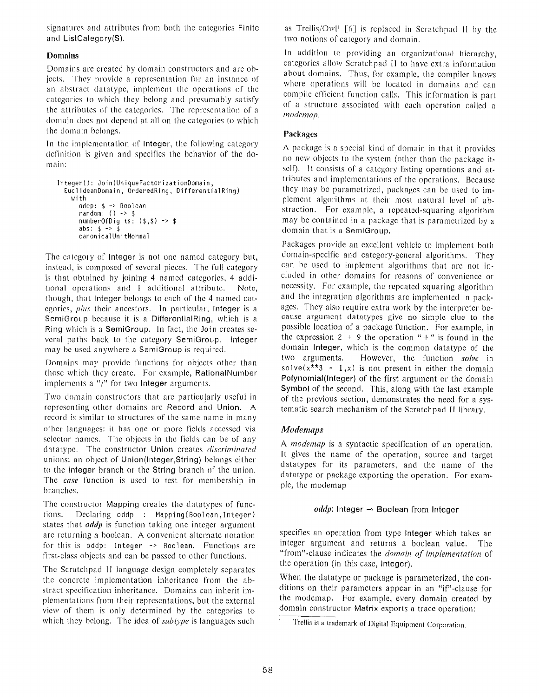signatures and attributes from both the categories Finite and ListCategory(S).

# **Domain s**

Domains are created by domain constructors and are objects. They provide a representation for an instance of an abstract datatype, implement the operations of the categories to which they belong and presumably satisfy the attributes of the categories. The representation of <sup>a</sup> domain does not depend at all on the categories to which the domain belongs.

In the implementation of Integer, the following category definition is given and specifies the behavior of the domain:

```
Integer() : Join(UniqueFactorizationDomain ,
  EuclideanDomain, OrderedRing, DifferentialRing )
    with
       oddp: $ -> Boolean<br>random: () -> $
      numberOfDigits : ($,$) -> $
      abs: $ -> $canonicalUnitNorma l
```
The category of Integer is not one named category but, instead, is composed of several pieces. The full category is that obtained by joining 4 named categories, 4 additional operations and 1 additional attribute. Note, though, that Integer belongs to each of the 4 named categories, *plus* their ancestors. In particular, Integer is a SemiGroup because it is a DifferentialRing, which is a Ring which is a SemiGroup. In fact, the Join creates several paths back to the category SemiGroup. Integer may be used anywhere a SemiGroup is required.

Domains may provide functions for objects other than those which they create. For example, RationalNumber implements a "/" for two Integer arguments.

Two domain constructors that are particularly useful in representing other domains arc Record and Union . A record is similar to structures of the same name in many other languages: it has one or more fields accessed via selector names. The objects in the fields can be of any datatype. The constructor Union creates *discriminated* unions: an object of Union(Integer, String) belongs either to the Integer branch or the String branch of the union . The *case* function is used to test for membership in branches .

The constructor Mapping creates the datatypes of functions. Declaring oddp : Mapping(Boolean,Integer ) states that *oddp* is function taking one integer argument are returning a boolean. A convenient alternate notation for this is oddp: Integer  $\rightarrow$  Boolean. Functions are first-class objects and can be passed to other functions .

The Scratchpad II language design completely separates the concrete implementation inheritance from the abstract specification inheritance. Domains can inherit implementations from their representations, but the external view of them is only determined by the categories to which they belong. The idea of *subtype* is languages such

as Trellis/Owl<sup>1</sup> [6] is replaced in Scratchpad II by the two notions of category and domain.

In addition to providing an organizational hierarchy, categories allow Scratchpad II to have extra information about domains. Thus, for example, the compiler knows where operations will be located in domains and can compile efficient function calls. This information is part of a structure associated with each operation called a *modemap .*

### Packages

A package is a special kind of domain in that it provides no new objects to the system (other than the package itself). It consists of a category listing operations and attributes and implementations of the operations. Because they may be parametrized, packages can be used to implement algorithms at their most natural level of abstraction. For example, a repeated-squaring algorithm may be contained in a package that is parametrized by <sup>a</sup> domain that is a SemiGroup.

Packages provide an excellent vehicle to implement both domain-specific and category-general algorithms. They can be used to implement algorithms that are not included in other domains for reasons of convenience or necessity. For example, the repeated squaring algorithm and the integration algorithms are implemented in packages. They also require extra work by the interpreter because argument datatypes give no simple clue to the possible location of a package function. For example, in the expression  $2 + 9$  the operation "+" is found in the domain Integer, which is the common datatype of the two arguments. However, the function *solve* in solve $(x^{**3} - 1, x)$  is not present in either the domain Polynomial(Integer) of the first argument or the domain Symbol of the second. This, along with the last example of the previous section, demonstrates the need for a systematic search mechanism of the Scratchpad II library .

# *Modemaps*

*A modemap* is a syntactic specification of an operation. It gives the name of the operation, source and target datatypes for its parameters, and the name of the datatype or package exporting the operation. For example, the modemap

#### $\textit{oddp}$ : Integer  $\rightarrow$  Boolean from Integer

specifies an operation from type Integer which takes an integer argument and returns a boolean value. The "from"-clause indicates the *domain of implementation* of the operation (in this case, Integer).

When the datatype or package is parameterized, the conditions on their parameters appear in an "if"-clause for the modemap. For example, every domain created by domain constructor Matrix exports a trace operation;

 $1$  .

Trellis is a trademark of Digital Equipment Corporation .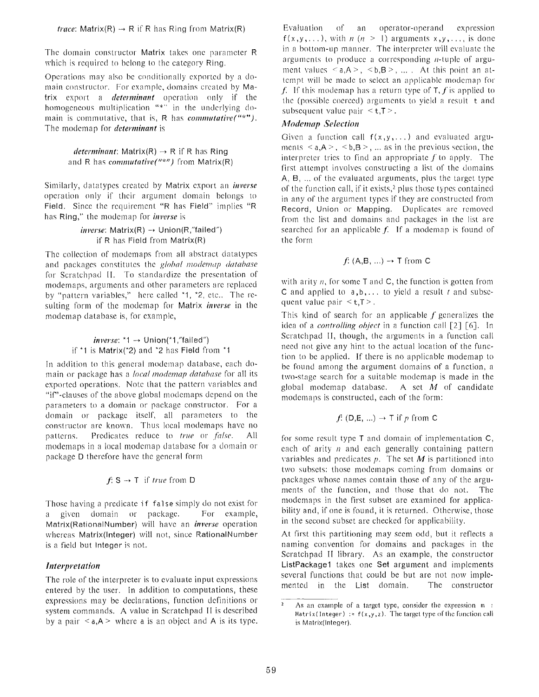The domain constructor Matrix takes one parameter R which is required to belong to the category Ring.

Operations may also be conditionally exported by a domain constructor. For example, domains created by Matrix export a *determinant* operation only if the homogeneous multiplication "\*" in the underlying domain is commutative, that is, R has *commutative*("\*"). The modcmap for *determinant is*

#### *determinant*: Matrix(R)  $\rightarrow$  R if R has Ring and R has *commutative*("\*") from Matrix(R)

Similarly, datatypes created by Matrix export an *inverse* operation only if their argument domain belongs to Field. Since the requirement "R has Field" implies "R has Ring," the modemap for *inverse is*

#### *inverse*: Matrix(R) → Union(R,"failed") if R has Field from Matrix(R)

The collection of modemaps from all abstract datatypes and packages constitutes the *global modemap database* for Scratchpad II. To standardize the presentation of modemaps, arguments and other parameters are replaced by "pattern variables," here called \*1, \*2, etc.. The resulting form of the modemap for Matrix *inverse* in the modemap database is, for example,

#### *inverse : \*1* —> Union(\*1,"failed") if  $*1$  is Matrix( $*2$ ) and  $*2$  has Field from  $*1$

In addition to this general modemap database, each domain or package has <sup>a</sup> *local modemap database* for all its exported operations. Note that the pattern variables and "if"-clauses of the above global modemaps depend on the parameters to a domain or package constructor. For <sup>a</sup> domain or package itself, all parameters to the constructor are known. Thus local modemaps have no patterns. Predicates reduce to *true* or *false*. All modemaps in a local modemap database for a domain or package D therefore have the general form

$$
f: S \rightarrow T
$$
 if *true* from D

Those having a predicate if false simply do not exist for a given domain or package. For example, Matrix(RationalNumber) will have an *inverse* operation whereas Matrix(Integer) will not, since RationalNumber is a field but Integer is not.

# *Interpretation*

The role of the interpreter is to evaluate input expressions entered by the user. In addition to computations, these expressions may be declarations, function definitions or system commands. A value in Scratchpad II is described by a pair  $\le a, A$  > where a is an object and A is its type.

Evaluation of an operator-operand expression  $f(x,y,...)$ , with  $n (n > 1)$  arguments  $x,y,...$ , is done in a bottom-up manner. The interpreter will evaluate the arguments to produce a corresponding n-tuple of argument values  $\le a, A \ge 0, B \ge 0, ...$  At this point an attempt will be made to select an applicable modemap for f. If this modemap has a return type of T, f is applied to the (possible coerced) arguments to yield a result t and subsequent value pair  $\leq t, T \geq 0$ .

### *Modemurp Selection*

Given a function call  $f(x,y,...)$  and evaluated arguments  $\le a, A \ge 0, B \ge 0, \ldots$  as in the previous section, the interpreter tries to find an appropriate  $f$  to apply. The first attempt involves constructing a list of the domains A,  $B_1$ ,  $\ldots$  of the evaluated arguments, plus the target type of the function call, if it exists, $2$  plus those types contained in any of the argument types if they are constructed from Record, Union or Mapping. Duplicates are removed from the list and domains and packages in the list are searched for an applicable  $f$ . If a modemap is found of the form

$$
f: (\mathsf{A},\mathsf{B},\ldots) \to \mathsf{T}
$$
 from  $\mathsf{C}$ 

with arity  $n$ , for some T and C, the function is gotten from C and applied to  $a, b, \ldots$  to yield a result t and subsequent value pair  $\leq t, T$ .

This kind of search for an applicable  $f$  generalizes the idea of a *controlling object* in a function call [2] [6]. In Scratchpad II, though, the arguments in a function call need not give any hint to the actual location of the function to be applied. If there is no applicable modemap to be found among the argument domains of a function, <sup>a</sup> two-stage search for a suitable modemap is made in the global modemap database. A set  $M$  of candidate modemaps is constructed, each of the form:

$$
f: (D,E,...) \rightarrow T
$$
 if p from C

for some result type T and domain of implementation C, each of arity *n* and each generally containing pattern variables and predicates  $p$ . The set  $M$  is partitioned into two subsets: those modemaps coming from domains or packages whose names contain those of any of the arguments of the function, and those that do not. The modemaps in the first subset are examined for applicability and, if one is found, it is returned. Otherwise, those in the second subset are checked for applicability.

At first this partitioning may seem odd, but it reflects a naming convention for domains and packages in the Scratchpad II library. As an example, the constructor ListPackagel takes one Set argument and implements several functions that could be but are not now implemented in the List domain. The constructor

 $\lambda$ s an example of a target type, consider the expression m : Matrix(Integer) :=  $f(x,y,z)$ . The target type of the function call is Matrix(Integer) .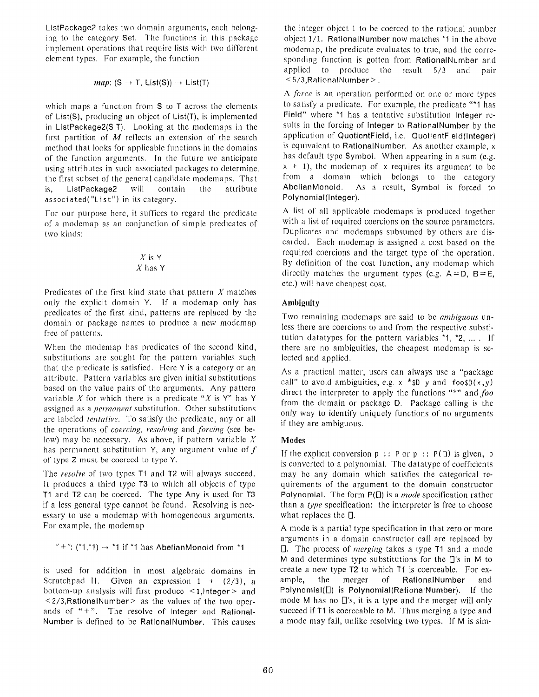ListPackage2 takes two domain arguments, each belonging to the category Set. The functions in this package implement operations that require lists with two different element types. For example, the function

$$
map: (S \to T, List(S)) \to List(T)
$$

which maps a function from S to T across the elements of List(S), producing an object of List(T), is implemented in ListPackage2 $(S,T)$ . Looking at the modemaps in the first partition of  $M$  reflects an extension of the search method that looks for applicable functions in the domains of the function arguments. In the future we anticipate using attributes in such associated packages to determine . the first subset of the general candidate modemaps. That is,  $ListPacket = 2$  will contain the attribute associated("List") in its category.

For our purpose here, it suffices to regard the predicate of a modemap as an conjunction of simple predicates of two kinds:

#### $X$  is  $Y$  $X$  has  $Y$

Predicates of the first kind state that pattern  $X$  matches only the explicit domain Y. If a modemap only has predicates of the first kind, patterns are replaced by the domain or package names to produce a new modemap free of patterns,

When the modemap has predicates of the second kind, substitutions are sought for the pattern variables such that the predicate is satisfied. Here  $Y$  is a category or an attribute. Pattern variables are given initial substitutions based on the value pairs of the arguments. Any pattern variable *X* for which there is a predicate *"X* is Y" has <sup>Y</sup> assigned as *<sup>a</sup> permanent* substitution . Other substitutions are labeled *tentative .* To satisfy the predicate, any or all the operations of *coercing, resolving* and *forcing* (see be low) may be necessary. As above, if pattern variable  $X$ has permanent substitution Y, any argument value *of f of* type Z must be coerced to type *<sup>Y</sup> .*

The *resolve* of two types T1 and T2 will always succeed. It produces a third type T3 to which all objects of type T1 and T2 can be coerced. The type Any is used for T3 if a less general type cannot be found. Resolving is necessary to use a modemap with homogeneous arguments. For example, the modemap

" $+$ ": (\*1,\*1)  $\rightarrow$  \*1 if \*1 has AbelianMonoid from \*1

is used for addition in most algebraic domains in Scratchpad II. Given an expression  $1 + (2/3)$ , a bottom-up analysis will first produce <1, Integer> and  $\leq$  2/3, Rational Number  $>$  as the values of the two operands of " $+$ ". The resolve of Integer and Rational-Number is defined to be RationalNumber. This causes

the integer object 1 to be coerced to the rational number object 1/1. RationalNumber now matches \*1 in the above modemap, the predicate evaluates to true, and the corresponding function is gotten from RationalNumber and applied to produce the result 5/3 and pair  $<$  5/3, Rational Number  $>$ .

A *force* is an operation performed on one or more types to satisfy a predicate. For example, the predicate "\*1 has Field" where \*1 has a tentative substitution Integer results in the forcing of Integer to RationalNumber by the application of QuotientField, i.e. QuotientField(Integer) is equivalent to RationalNumber, As another example, <sup>x</sup> has default type Symbol. When appearing in a sum (e.g.  $x + 1$ , the modemap of x requires its argument to be from a domain which belongs to the category AbelianMonoid. As a result, Symbol is forced to Polynomial(Integer).

A list of all applicable modemaps is produced together with a list of required coercions on the source parameters. Duplicates and modemaps subsumed by others are discarded. Each modemap is assigned a cost based on the required coercions and the target type of the operation. By definition of the cost function, any modemap which directly matches the argument types (e.g.  $A = D$ ,  $B = E$ , etc.) will have cheapest cost.

# **Ambiguit y**

Two remaining modemaps are said to be *ambiguous* unless there are coercions to and from the respective substitution datatypes for the pattern variables  $*1$ ,  $*2$ , .... If there are no ambiguities, the cheapest modemap is selected and applied,

As a practical matter, users can always use a "package call" to avoid ambiguities, e.g.  $x * SD$  y and foo \$D(x,y) direct the interpreter to apply the functions "\*" *and foo* from the domain or package  $D$ . Package calling is the only way to identify uniquely functions of no arguments if they are ambiguous.

# **Modes**

If the explicit conversion  $p : P$  or  $p : P(\Box)$  is given, p is converted to a polynomial. The datatype of coefficients may be any domain which satisfies the categorical requirements of the argument to the domain constructor Polynomial. The form  $P(\Box)$  is a *mode* specification rather than a *type* specification: the interpreter is free to choose what replaces the  $\Box$ .

A mode is a partial type specification in that zero or more arguments in a domain constructor call are replaced by 0. The process of *merging* takes a type T1 and a mode M and determines type substitutions for the  $\mathbb{Q}'$ 's in M to create a new type T2 to which T1 is coerceable. For example, the merger of RationalNumber and Polynomial $(\Box)$  is Polynomial(RationalNumber). If the mode M has no  $\Box$ 's, it is a type and the merger will only succeed if T1 is coerceable to M. Thus merging a type and a mode may fail, unlike resolving two types. If M is sim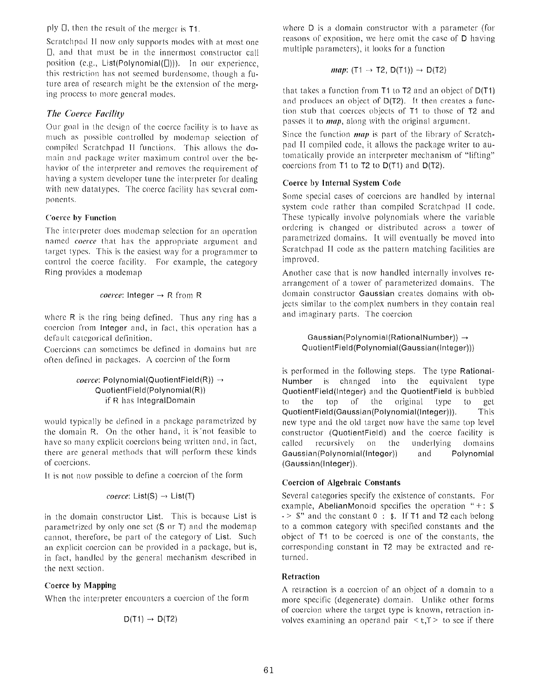ply  $\Box$ , then the result of the merger is T1.

Scratchpad 11 now only supports modes with at most one  $\Box$ , and that must be in the innermost constructor call position (e.g., List(Polynomial( $[]$ ))). In our experience, this restriction has not seemed burdensome, though a future area of research might be the extension of the merging process to more general modes.

# *The Coerce Facility*

Our goal in the design of the coerce facility is to have as much as possible controlled by modemap selection of compiled Scratchpad II functions. This allows the domain and package writer maximum control over the behavior of the interpreter and removes the requirement of having a system developer tune the interpreter for dealing with new datatypes. The coerce facility has several components.

### Coerce by Function

The interpreter does modemap selection for an operation named *coerce* that has the appropriate argument and target types. This is the easiest way for a programmer to control the coerce facility. For example, the category Ring provides a modemap

*coerce*: Integer 
$$
\rightarrow
$$
 R from R

where  $R$  is the ring being defined. Thus any ring has a coercion from Integer and, in fact, this operation has <sup>a</sup> default categorical definition.

Coercions can sometimes be defined in domains but are often defined in packages. A coercion of the form

$$
coerce: Polynomial(QuotientField(R)) \rightarrow QuotientField(Polynomial(R))
$$
if R has IntegralDomain

would typically be defined in a package parametrized by the domain R. On the other hand, it is not feasible to have so many explicit coercions being written and, in fact, there are general methods that will perform these kinds of coercions.

It is not now possible to define a coercion of the form

$$
coerce: List(S) \rightarrow List(T)
$$

in the domain constructor List. This is because List is parametrized by only one set  $(S \text{ or } T)$  and the modemap cannot, therefore, be part of the category of List. Such an explicit coercion can he provided in a package, but is, in fact, handled by the general mechanism described in the next section .

# Coerce by **Mapping**

When the interpreter encounters a coercion of the form

$$
D(T1) \rightarrow D(T2)
$$

where  $D$  is a domain constructor with a parameter (for reasons of exposition, we here omit the case of D having multiple parameters), it looks for a function

$$
map: (T1 \rightarrow T2, D(T1)) \rightarrow D(T2)
$$

that takes a function from T1 to T2 and an object of D(T1 ) and produces an object of D(T2). It then creates a function stub that coerces objects of T1 to those of T2 and passes it to *map*, along with the original argument.

Since the function *map* is part of the library of Scratchpad II compiled code, it allows the package writer to automatically provide an interpreter mechanism of "lifting" coercions from T1 to T2 to D(T1) and D(T2) .

### Coerce by **Internal System Code**

Some special cases of coercions are handled by internal system code rather than compiled Scratchpad II code. These typically involve polynomials where the variable ordering is changed or distributed across a tower of parametrized domains. It will eventually be moved into Scratchpad II code as the pattern matching facilities are improved .

Another case that is now handled internally involves re arrangement of a tower of parameterized domains. The domain constructor Gaussian creates domains with objects similar to the complex numbers in they contain real and imaginary parts. The coercion

#### Gaussian(Polynomial(RationalNumber)) QuotientField(Polynomial(Gaussian(Integer)) )

is performed in the following steps. The type Rational-Number is changed into the equivalent type QuotientField(Integer) and the QuotientField is bubbled to the top of the original type to get QuotientField(Gaussian(Polynomial(Integer))) . This new type and the old target now have the same top level constructor (QuotientField) and the coerce facility is called recursively on the underlying domains Gaussian(Polynomial(Integer)) and Polynomial (Gaussian(Integer)) .

#### **Coercion of Algebraic Constants**

Several categories specify the existence of constants. For example, AbelianMonoid specifies the operation " $+:$  \$  $\cdot$  > \$" and the constant 0 : \$. If T1 and T2 each belong to a common category with specified constants and the object of  $T1$  to be coerced is one of the constants, the corresponding constant in T2 may be extracted and returned.

#### **Ret**<sup>r</sup> **action**

A retraction is a coercion of an object of a domain to a more specific (degenerate) domain. Unlike other forms of coercion where the target type is known, retraction involves examining an operand pair  $\le t$ ,  $T$  to see if there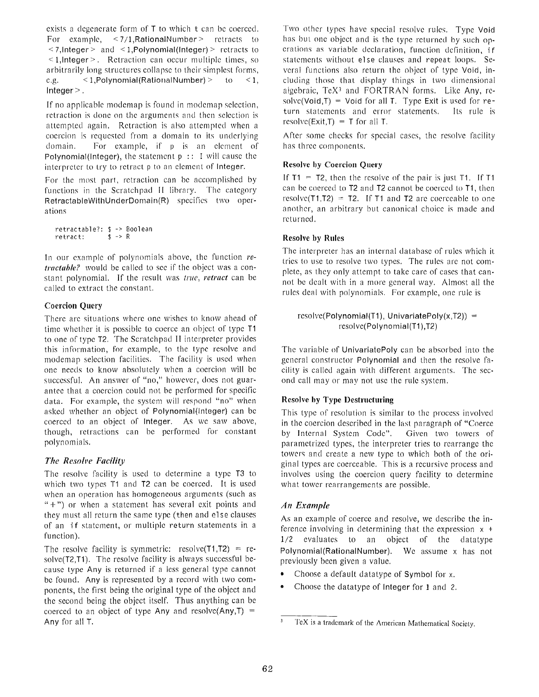exists a degenerate form of T to which t can be coerced. For example,  $\langle 7/1,$ RationalNumber > retracts to  $\leq$  7, Integer  $>$  and  $\leq$  1, Polynomial (Integer)  $>$  retracts to  $\leq$  1, Integer  $\geq$ . Retraction can occur multiple times, so arbitrarily long structures collapse to their simplest forms, e.g.  $\leq 1$ , Polynomial (Rational Number)  $>$  to  $\leq 1$ , Integer $>$ .

If no applicable modemap is found in modemap selection, retraction is done on the arguments and then selection is attempted again. Retraction is also attempted when a coercion is requested from a domain to its underlying domain. For example, if p is an element of Polynomial(Integer), the statement  $p : I$  will cause the interpreter to try to retract p to an element of Integer.

For the most part, retraction can be accomplished by functions in the Scratchpad II library. The category RetractableWithUnderDomain(R) specifies two operations

```
retractable?: $ \rightarrow Boolean retract: $ \rightarrow Rretract:
```
In our example of polynomials above, the function *retractable?* would be called to see if the object was a constant polynomial. If the result was true, *retract* can be called to extract the constant.

### **Coercion Query**

There are situations where one wishes to know ahead of time whether it is possible to coerce an object of type T1 to one of type T2. The Scratchpad II interpreter provides this information, for example, to the type resolve and modemap selection facilities. The facility is used when one needs to know absolutely when a coercion will be successful. An answer of "no," however, does not guarantee that a coercion could not be performed for specific data. For example, the system will respond "no" when asked whether an object of Polynomial(Integer) can be coerced to an object of Integer. As we saw above, though, retractions can be performed for constant polynomials .

# *The Resolve Facility*

The resolve facility is used to determine a type T3 to which two types T1 and T2 can be coerced. It is used when an operation has homogeneous arguments (such as  $(4)$  or when a statement has several exit points and they must all return the same type (then and else clauses of an if statement, or multiple return statements in a function).

The resolve facility is symmetric: resolve(T1,T2) = resolve(T2,T1). The resolve facility is always successful be cause type Any is returned if a less general type cannot be found. Any is represented by a record with two components, the first being the original type of the object and the second being the object itself. Thus anything can be coerced to an object of type Any and resolve(Any,T) = Any for all T.

Two other types have special resolve rules. Type Void has but one object and is the type returned by such operations as variable declaration, function definition, i f statements without else clauses and repeat loops. Several functions also return the object of type Void, including those that display things in two dimensional algebraic,  $T\epsilon X^3$  and  $FORTRAN$  forms. Like Any, resolve(Void,T) = Void for all T. Type Exit is used for return statements and error statements. Its rule is resolve(Exit,T) = T for all T.

After some checks for special cases, the resolve facility has three components.

### **Resolve by Coercion Query**

If  $T1 = T2$ , then the resolve of the pair is just T1. If T1 can be coerced to T2 and T2 cannot be coerced to T1, then resolve(T1,T2) = T2. If T1 and T2 are coerceable to one another, an arbitrary but canonical choice is made and returned .

### **Resolve** by **Rules**

The interpreter has an internal database of rules which it tries to use to resolve two types. The rules are not complete, as they only attempt to take care of cases that can not be dealt with in a more general way. Almost all the rules deal with polynomials. For example, one rule is

```
resolve(Polynomial(T1), UnivariatePoly(x,T2)) =
          resolve(Polynomial(T1),T2)
```
The variable of UnivariatePoly can he absorbed into the general constructor Polynomial and then the resolve facility is called again with different arguments. The second call may or may not use the rule system .

# **Resolve by Type Destructuring**

This type of resolution is similar to the process involved in the coercion described in the last paragraph of "Coerce" by Internal System Code". Given two towers of parametrized types, the interpreter tries to rearrange the towers and create a new type to which both of the original types are coerceable. This is a recursive process and involves using the coercion query facility to determine what tower rearrangements are possible.

# *An Example*

As an example of coerce and resolve, we describe the inference involving in determining that the expression  $x +$  $1/2$  evaluates to an object of the datatype Polynomial(RationalNumber). We assume x has not previously been given a value.

- $\bullet$ Choose a default datatype of **Symbol** for x.
- Choose the datatype of Integer for 1 and 2.

TeX is a trademark of the American Mathematical Society .